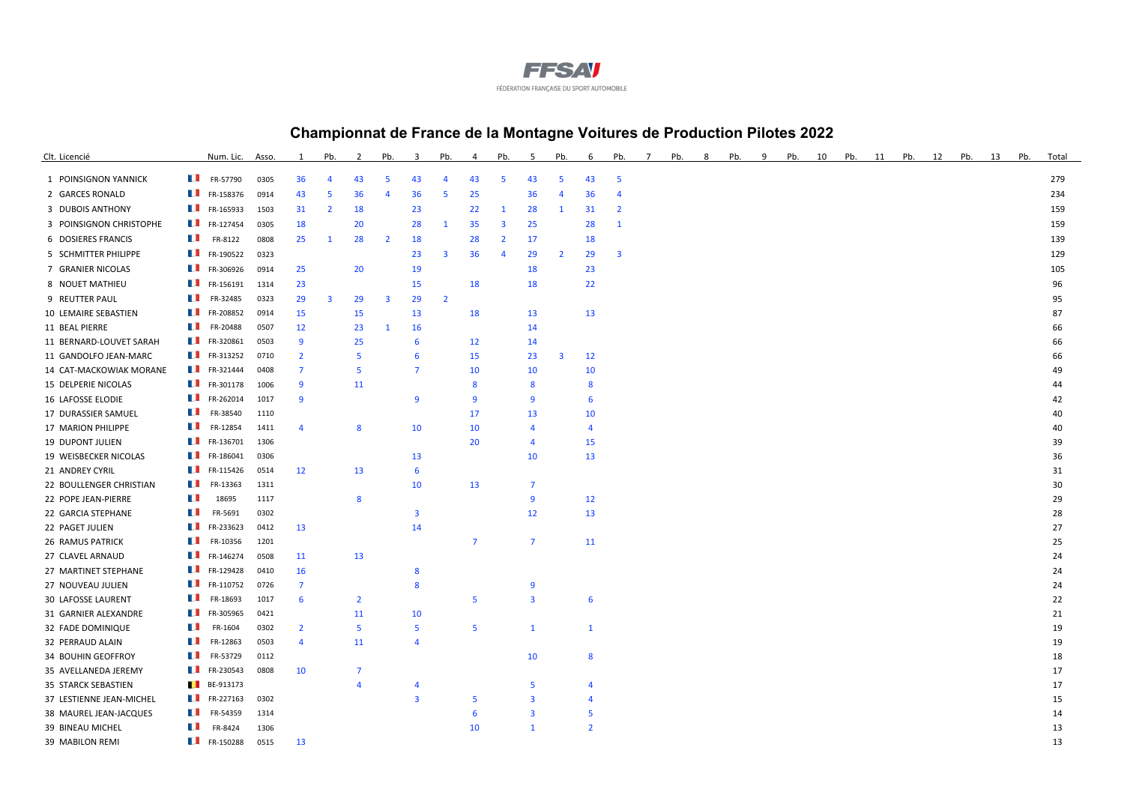

## **Championnat de France de la Montagne Voitures de Production Pilotes 2022**

| Clt. Licencié            | Num. Lic.                                  | Asso. | $\mathbf{1}$   | Pb.                     | 2              | Pb.                     | 3                       | Pb.                     | 4              | Pb.            | -5                      | Pb.            | 6              | Pb.                     | -7 | Pb. | 8 | Pb. | q | Pb. | 10 | Pb. | 11 | Pb. | 12 | Pb. | 13 | Pb. | Total |
|--------------------------|--------------------------------------------|-------|----------------|-------------------------|----------------|-------------------------|-------------------------|-------------------------|----------------|----------------|-------------------------|----------------|----------------|-------------------------|----|-----|---|-----|---|-----|----|-----|----|-----|----|-----|----|-----|-------|
| 1 POINSIGNON YANNICK     | $\blacksquare$ FR-57790                    | 0305  | 36             | $\overline{4}$          | 43             | 5                       | 43                      | $\overline{4}$          | 43             | 5              | 43                      | 5              | 43             | -5                      |    |     |   |     |   |     |    |     |    |     |    |     |    |     | 279   |
| 2 GARCES RONALD          | $\blacksquare$ FR-158376                   | 0914  | 43             | 5                       | 36             | 4                       | 36                      | -5                      | 25             |                | 36                      | 4              | 36             | $\overline{4}$          |    |     |   |     |   |     |    |     |    |     |    |     |    |     | 234   |
| 3 DUBOIS ANTHONY         | $\blacksquare$ FR-165933                   | 1503  | 31             | $\overline{2}$          | 18             |                         | 23                      |                         | 22             | $\mathbf{1}$   | 28                      | 1              | 31             | $\overline{2}$          |    |     |   |     |   |     |    |     |    |     |    |     |    |     | 159   |
| 3 POINSIGNON CHRISTOPHE  | $\blacksquare$ FR-127454                   | 0305  | 18             |                         | 20             |                         | 28                      | $\mathbf{1}$            | 35             | 3              | 25                      |                | 28             | $\mathbf{1}$            |    |     |   |     |   |     |    |     |    |     |    |     |    |     | 159   |
| 6 DOSIERES FRANCIS       | a se<br>FR-8122                            | 0808  | 25             | -1                      | 28             | $\overline{2}$          | 18                      |                         | 28             | $\overline{2}$ | 17                      |                | 18             |                         |    |     |   |     |   |     |    |     |    |     |    |     |    |     | 139   |
| 5 SCHMITTER PHILIPPE     | $\blacksquare$ FR-190522                   | 0323  |                |                         |                |                         | 23                      | $\overline{\mathbf{3}}$ | 36             | $\overline{A}$ | 29                      | $\overline{2}$ | 29             | $\overline{\mathbf{3}}$ |    |     |   |     |   |     |    |     |    |     |    |     |    |     | 129   |
| 7 GRANIER NICOLAS        | FR-306926                                  | 0914  | 25             |                         | 20             |                         | 19                      |                         |                |                | 18                      |                | 23             |                         |    |     |   |     |   |     |    |     |    |     |    |     |    |     | 105   |
| 8 NOUET MATHIEU          | $\blacksquare$ FR-156191                   | 1314  | 23             |                         |                |                         | 15                      |                         | 18             |                | 18                      |                | 22             |                         |    |     |   |     |   |     |    |     |    |     |    |     |    |     | 96    |
| 9 REUTTER PAUL           | $\blacksquare$ FR-32485                    | 0323  | 29             | $\overline{\mathbf{3}}$ | 29             | $\overline{\mathbf{3}}$ | 29                      | $\overline{2}$          |                |                |                         |                |                |                         |    |     |   |     |   |     |    |     |    |     |    |     |    |     | 95    |
| 10 LEMAIRE SEBASTIEN     | FR-208852                                  | 0914  | 15             |                         | 15             |                         | 13                      |                         | 18             |                | 13                      |                | 13             |                         |    |     |   |     |   |     |    |     |    |     |    |     |    |     | 87    |
| 11 BEAL PIERRE           | FR-20488                                   | 0507  | 12             |                         | 23             | $\mathbf{1}$            | 16                      |                         |                |                | 14                      |                |                |                         |    |     |   |     |   |     |    |     |    |     |    |     |    |     | 66    |
| 11 BERNARD-LOUVET SARAH  | FR-320861                                  | 0503  | 9              |                         | 25             |                         | 6                       |                         | 12             |                | 14                      |                |                |                         |    |     |   |     |   |     |    |     |    |     |    |     |    |     | 66    |
| 11 GANDOLFO JEAN-MARC    | $\blacksquare$ FR-313252                   | 0710  | $\overline{2}$ |                         | -5             |                         | 6                       |                         | 15             |                | 23                      | 3              | 12             |                         |    |     |   |     |   |     |    |     |    |     |    |     |    |     | 66    |
| 14 CAT-MACKOWIAK MORANE  | $\blacksquare$ FR-321444                   | 0408  | 7              |                         | -5             |                         | $\overline{7}$          |                         | 10             |                | 10                      |                | 10             |                         |    |     |   |     |   |     |    |     |    |     |    |     |    |     | 49    |
| 15 DELPERIE NICOLAS      | $\blacksquare$ FR-301178                   | 1006  | $\mathbf{q}$   |                         | 11             |                         |                         |                         | 8              |                | 8                       |                | 8              |                         |    |     |   |     |   |     |    |     |    |     |    |     |    |     | 44    |
| 16 LAFOSSE ELODIE        | $\blacksquare$ FR-262014                   | 1017  | 9              |                         |                |                         | 9                       |                         | 9              |                | 9                       |                | 6              |                         |    |     |   |     |   |     |    |     |    |     |    |     |    |     | 42    |
| 17 DURASSIER SAMUEL      | FR-38540<br>a se                           | 1110  |                |                         |                |                         |                         |                         | 17             |                | 13                      |                | 10             |                         |    |     |   |     |   |     |    |     |    |     |    |     |    |     | 40    |
| 17 MARION PHILIPPE       | $\blacksquare$ FR-12854                    | 1411  | $\overline{A}$ |                         | 8              |                         | 10                      |                         | 10             |                | $\boldsymbol{\Lambda}$  |                | $\overline{4}$ |                         |    |     |   |     |   |     |    |     |    |     |    |     |    |     | 40    |
| <b>19 DUPONT JULIEN</b>  | $\blacksquare$ FR-136701                   | 1306  |                |                         |                |                         |                         |                         | 20             |                | $\boldsymbol{\Lambda}$  |                | 15             |                         |    |     |   |     |   |     |    |     |    |     |    |     |    |     | 39    |
| 19 WEISBECKER NICOLAS    | $\blacksquare$ FR-186041                   | 0306  |                |                         |                |                         | 13                      |                         |                |                | 10                      |                | 13             |                         |    |     |   |     |   |     |    |     |    |     |    |     |    |     | 36    |
| 21 ANDREY CYRIL          | $\blacksquare$ FR-115426                   | 0514  | 12             |                         | 13             |                         | 6                       |                         |                |                |                         |                |                |                         |    |     |   |     |   |     |    |     |    |     |    |     |    |     | 31    |
| 22 BOULLENGER CHRISTIAN  | <b>The Contract of Service</b><br>FR-13363 | 1311  |                |                         |                |                         | 10                      |                         | 13             |                | $\overline{7}$          |                |                |                         |    |     |   |     |   |     |    |     |    |     |    |     |    |     | 30    |
| 22 POPE JEAN-PIERRE      | ш<br>18695                                 | 1117  |                |                         | 8              |                         |                         |                         |                |                | 9                       |                | 12             |                         |    |     |   |     |   |     |    |     |    |     |    |     |    |     | 29    |
| 22 GARCIA STEPHANE       | ш<br>FR-5691                               | 0302  |                |                         |                |                         | $\overline{\mathbf{3}}$ |                         |                |                | 12                      |                | 13             |                         |    |     |   |     |   |     |    |     |    |     |    |     |    |     | 28    |
| 22 PAGET JULIEN          | $\blacksquare$ FR-233623                   | 0412  | 13             |                         |                |                         | 14                      |                         |                |                |                         |                |                |                         |    |     |   |     |   |     |    |     |    |     |    |     |    |     | 27    |
| <b>26 RAMUS PATRICK</b>  | H.<br>FR-10356                             | 1201  |                |                         |                |                         |                         |                         | $\overline{7}$ |                | $\overline{7}$          |                | 11             |                         |    |     |   |     |   |     |    |     |    |     |    |     |    |     | 25    |
| 27 CLAVEL ARNAUD         | $\blacksquare$ FR-146274                   | 0508  | 11             |                         | 13             |                         |                         |                         |                |                |                         |                |                |                         |    |     |   |     |   |     |    |     |    |     |    |     |    |     | 24    |
| 27 MARTINET STEPHANE     | $\blacksquare$ FR-129428                   | 0410  | 16             |                         |                |                         | 8                       |                         |                |                |                         |                |                |                         |    |     |   |     |   |     |    |     |    |     |    |     |    |     | 24    |
| 27 NOUVEAU JULIEN        | $\blacksquare$ FR-110752                   | 0726  | 7              |                         |                |                         | 8                       |                         |                |                | 9                       |                |                |                         |    |     |   |     |   |     |    |     |    |     |    |     |    |     | 24    |
| 30 LAFOSSE LAURENT       | H.<br>FR-18693                             | 1017  | 6              |                         | $\overline{2}$ |                         |                         |                         | 5              |                | $\overline{\mathbf{3}}$ |                | 6              |                         |    |     |   |     |   |     |    |     |    |     |    |     |    |     | 22    |
| 31 GARNIER ALEXANDRE     | $\blacksquare$ FR-305965                   | 0421  |                |                         | 11             |                         | 10                      |                         |                |                |                         |                |                |                         |    |     |   |     |   |     |    |     |    |     |    |     |    |     | 21    |
| 32 FADE DOMINIQUE        | a se<br>FR-1604                            | 0302  | $\overline{2}$ |                         | 5              |                         | 5                       |                         | 5              |                | $\mathbf{1}$            |                | $\mathbf{1}$   |                         |    |     |   |     |   |     |    |     |    |     |    |     |    |     | 19    |
| 32 PERRAUD ALAIN         | a sa<br>FR-12863                           | 0503  | $\overline{4}$ |                         | 11             |                         | $\Delta$                |                         |                |                |                         |                |                |                         |    |     |   |     |   |     |    |     |    |     |    |     |    |     | 19    |
| 34 BOUHIN GEOFFROY       | u.<br>FR-53729                             | 0112  |                |                         |                |                         |                         |                         |                |                | 10                      |                | 8              |                         |    |     |   |     |   |     |    |     |    |     |    |     |    |     | 18    |
| 35 AVELLANEDA JEREMY     | FR-230543                                  | 0808  | 10             |                         | 7              |                         |                         |                         |                |                |                         |                |                |                         |    |     |   |     |   |     |    |     |    |     |    |     |    |     | 17    |
| 35 STARCK SEBASTIEN      | $BE-913173$                                |       |                |                         | Δ              |                         |                         |                         |                |                | 5                       |                | $\Delta$       |                         |    |     |   |     |   |     |    |     |    |     |    |     |    |     | 17    |
| 37 LESTIENNE JEAN-MICHEL | $\blacksquare$ FR-227163                   | 0302  |                |                         |                |                         | $\overline{3}$          |                         | 5              |                | $\overline{3}$          |                | Δ              |                         |    |     |   |     |   |     |    |     |    |     |    |     |    |     | 15    |
| 38 MAUREL JEAN-JACQUES   | $\blacksquare$ FR-54359                    | 1314  |                |                         |                |                         |                         |                         | 6              |                | 3                       |                | -5             |                         |    |     |   |     |   |     |    |     |    |     |    |     |    |     | 14    |
| 39 BINEAU MICHEL         | u s<br>FR-8424                             | 1306  |                |                         |                |                         |                         |                         | 10             |                | $\mathbf{1}$            |                | $\overline{2}$ |                         |    |     |   |     |   |     |    |     |    |     |    |     |    |     | 13    |
| 39 MABILON REMI          | $\blacksquare$ FR-150288                   | 0515  | 13             |                         |                |                         |                         |                         |                |                |                         |                |                |                         |    |     |   |     |   |     |    |     |    |     |    |     |    |     | 13    |